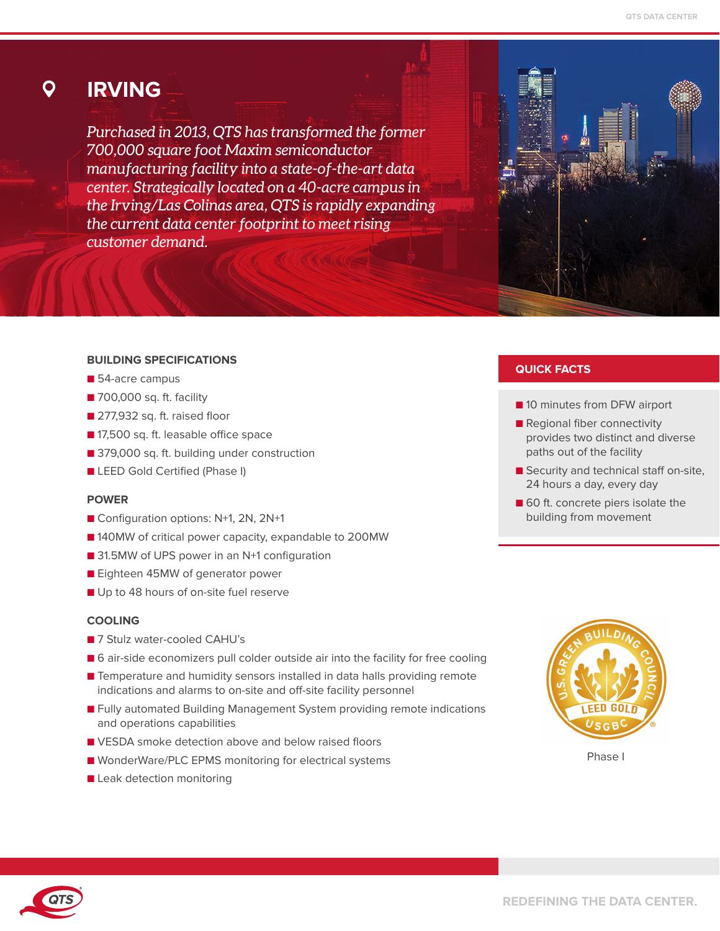## **IRVING**

Ő

*Purchased in 2013, QTS has transformed the former 700,000 square foot Maxim semiconductor manufacturing facility into a state-of-the-art data center. Strategically located on a 40-acre campus in the Irving/Las Colinas area, QTS is rapidly expanding the current data center footprint to meet rising customer demand.*

## **BUILDING SPECIFICATIONS**

- 54-acre campus
- 700,000 sq. ft. facility
- 277,932 sq. ft. raised floor
- 17,500 sq. ft. leasable office space
- 379,000 sq. ft. building under construction
- LEED Gold Certified (Phase I)

#### **POWER**

- Configuration options: N+1, 2N, 2N+1
- 140MW of critical power capacity, expandable to 200MW
- 31.5MW of UPS power in an N+1 configuration
- Eighteen 45MW of generator power
- Up to 48 hours of on-site fuel reserve

#### **COOLING**

- 7 Stulz water-cooled CAHU's
- 6 air-side economizers pull colder outside air into the facility for free cooling
- Temperature and humidity sensors installed in data halls providing remote indications and alarms to on-site and off-site facility personnel
- Fully automated Building Management System providing remote indications and operations capabilities
- VESDA smoke detection above and below raised floors
- WonderWare/PLC EPMS monitoring for electrical systems
- Leak detection monitoring

## **QUICK FACTS**

- 10 minutes from DFW airport
- Regional fiber connectivity provides two distinct and diverse paths out of the facility
- Security and technical staff on-site, 24 hours a day, every day
- 60 ft. concrete piers isolate the building from movement



Phase I